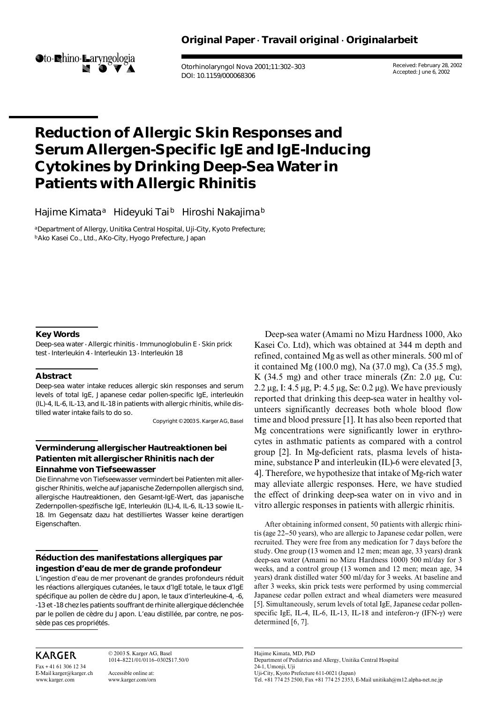

Otorhinolaryngol Nova 2001;11:302–303 DOI: 10.1159/000068306

Received: February 28, 2002 Accepted: June 6, 2002

# **Reduction of Allergic Skin Responses and Serum Allergen-Specific IgE and IgE-Inducing Cytokines by Drinking Deep-Sea Water in Patients with Allergic Rhinitis**

Hajime Kimata<sup>a</sup> Hideyuki Tai<sup>b</sup> Hiroshi Nakajima<sup>b</sup>

aDepartment of Allergy, Unitika Central Hospital, Uji-City, Kyoto Prefecture; bAko Kasei Co., Ltd., AKo-City, Hyogo Prefecture, Japan

#### **Key Words**

Deep-sea water  $\cdot$  Allergic rhinitis  $\cdot$  Immunoglobulin E  $\cdot$  Skin prick test · Interleukin 4 · Interleukin 13 · Interleukin 18

#### **Abstract**

Deep-sea water intake reduces allergic skin responses and serum levels of total IgE, Japanese cedar pollen-specific IgE, interleukin (IL)-4, IL-6, IL-13, and IL-18 in patients with allergic rhinitis, while distilled water intake fails to do so.

Copyright © 2003 S. Karger AG, Basel

### **Verminderung allergischer Hautreaktionen bei Patienten mit allergischer Rhinitis nach der Einnahme von Tiefseewasser**

Die Einnahme von Tiefseewasser vermindert bei Patienten mit allergischer Rhinitis, welche auf japanische Zedernpollen allergisch sind, allergische Hautreaktionen, den Gesamt-IgE-Wert, das japanische Zedernpollen-spezifische IgE, Interleukin (IL)-4, IL-6, IL-13 sowie IL-18. Im Gegensatz dazu hat destilliertes Wasser keine derartigen Eigenschaften.

## **Réduction des manifestations allergiques par ingestion d'eau de mer de grande profondeur**

L'ingestion d'eau de mer provenant de grandes profondeurs réduit les réactions allergiques cutanées, le taux d'IgE totale, le taux d'IgE spécifique au pollen de cèdre du Japon, le taux d'interleukine-4, -6, -13 et -18 chez les patients souffrant de rhinite allergique déclenchée par le pollen de cèdre du Japon. L'eau distillée, par contre, ne possède pas ces propriétés.

# **KARGER**

Fax + 41 61 306 12 34 E-Mail karger@karger.ch www.karger.com

© 2003 S. Karger AG, Basel 1014–8221/01/0116–0302\$17.50/0

Accessible online at: www.karger.com/orn

Deep-sea water (Amami no Mizu Hardness 1000, Ako Kasei Co. Ltd), which was obtained at 344 m depth and refined, contained Mg as well as other minerals. 500 ml of it contained Mg (100.0 mg), Na (37.0 mg), Ca (35.5 mg), K (34.5 mg) and other trace minerals  $(Zn: 2.0 \mu g, Cu:$ 2.2  $\mu$ g, I: 4.5  $\mu$ g, P: 4.5  $\mu$ g, Se: 0.2  $\mu$ g). We have previously reported that drinking this deep-sea water in healthy volunteers significantly decreases both whole blood flow time and blood pressure [1]. It has also been reported that Mg concentrations were significantly lower in erythrocytes in asthmatic patients as compared with a control group [2]. In Mg-deficient rats, plasma levels of histamine, substance P and interleukin (IL)-6 were elevated [3, 4]. Therefore, we hypothesize that intake of Mg-rich water may alleviate allergic responses. Here, we have studied the effect of drinking deep-sea water on in vivo and in vitro allergic responses in patients with allergic rhinitis.

After obtaining informed consent, 50 patients with allergic rhinitis (age 22–50 years), who are allergic to Japanese cedar pollen, were recruited. They were free from any medication for 7 days before the study. One group (13 women and 12 men; mean age, 33 years) drank deep-sea water (Amami no Mizu Hardness 1000) 500 ml/day for 3 weeks, and a control group (13 women and 12 men; mean age, 34 years) drank distilled water 500 ml/day for 3 weeks. At baseline and after 3 weeks, skin prick tests were performed by using commercial Japanese cedar pollen extract and wheal diameters were measured [5]. Simultaneously, serum levels of total IgE, Japanese cedar pollenspecific IgE, IL-4, IL-6, IL-13, IL-18 and inteferon- $\gamma$  (IFN- $\gamma$ ) were determined [6, 7].